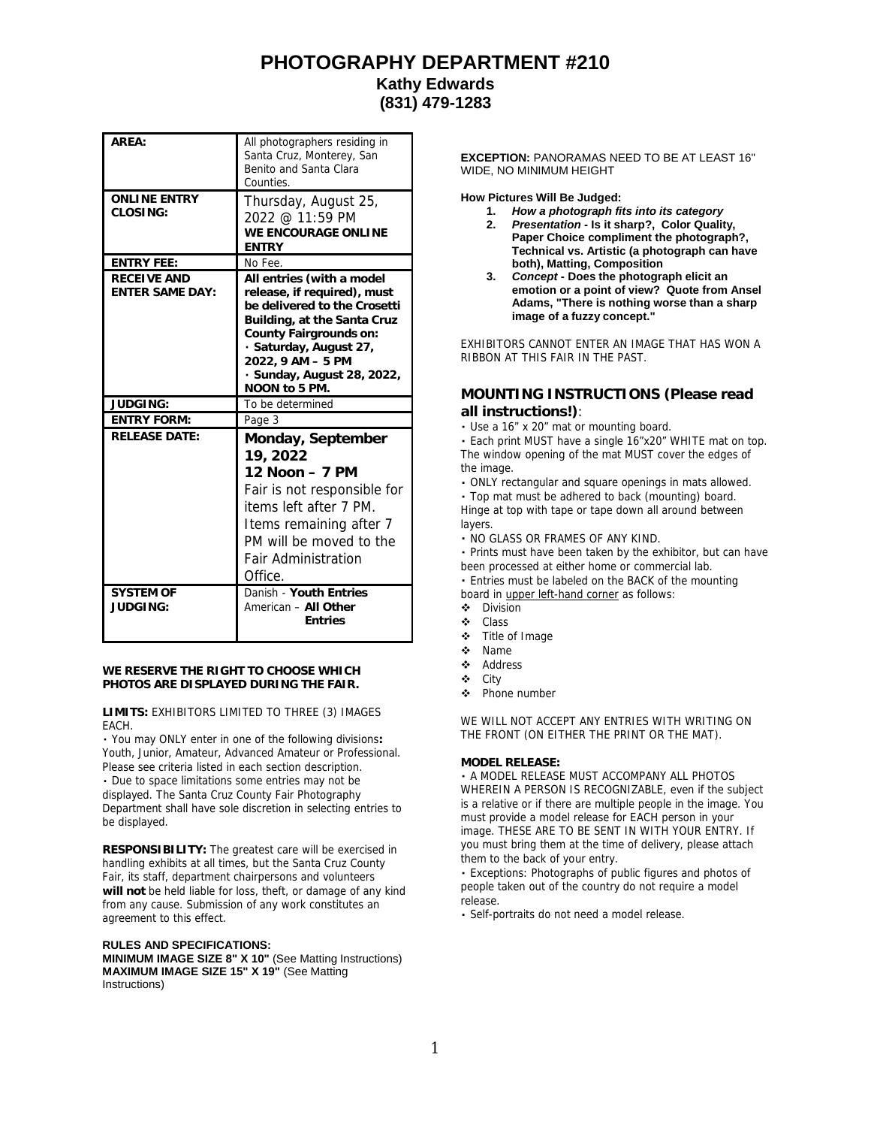## **PHOTOGRAPHY DEPARTMENT #210 Kathy Edwards (831) 479-1283**

| ARFA:                                 | All photographers residing in<br>Santa Cruz, Monterey, San<br>Benito and Santa Clara<br>Counties.                                                                                                                                               |
|---------------------------------------|-------------------------------------------------------------------------------------------------------------------------------------------------------------------------------------------------------------------------------------------------|
| <b>ONLINE ENTRY</b><br>CLOSING:       | Thursday, August 25,<br>2022 @ 11:59 PM<br>WE ENCOURAGE ONLINE<br><b>ENTRY</b>                                                                                                                                                                  |
| <b>ENTRY FEE:</b>                     | No Fee.                                                                                                                                                                                                                                         |
| RECEIVE AND<br><b>ENTER SAME DAY:</b> | All entries (with a model<br>release, if required), must<br>be delivered to the Crosetti<br>Building, at the Santa Cruz<br>County Fairgrounds on:<br>· Saturday, August 27,<br>2022, 9 AM - 5 PM<br>· Sunday, August 28, 2022,<br>NOON to 5 PM. |
| JUDGING:                              | To be determined                                                                                                                                                                                                                                |
| <b>ENTRY FORM:</b>                    | Page 3                                                                                                                                                                                                                                          |
| <b>RELEASE DATE:</b>                  | Monday, September<br>19, 2022<br>12 Noon - 7 PM<br>Fair is not responsible for<br>items left after 7 PM.<br>Items remaining after 7<br>PM will be moved to the<br><b>Fair Administration</b><br>Office.                                         |
| <b>SYSTEM OF</b><br>JUDGING:          | Danish - Youth Entries<br>American - All Other<br><b>Fntries</b>                                                                                                                                                                                |

**WE RESERVE THE RIGHT TO CHOOSE WHICH PHOTOS ARE DISPLAYED DURING THE FAIR.**

**LIMITS:** EXHIBITORS LIMITED TO THREE (3) IMAGES EACH.

You may ONLY enter in one of the following divisions**:** Youth, Junior, Amateur, Advanced Amateur or Professional. Please see criteria listed in each section description.

Due to space limitations some entries may not be displayed. The Santa Cruz County Fair Photography Department shall have sole discretion in selecting entries to be displayed.

**RESPONSIBILITY:** The greatest care will be exercised in handling exhibits at all times, but the Santa Cruz County Fair, its staff, department chairpersons and volunteers **will not** be held liable for loss, theft, or damage of any kind from any cause. Submission of any work constitutes an agreement to this effect.

**RULES AND SPECIFICATIONS: MINIMUM IMAGE SIZE 8" X 10"** (See Matting Instructions) **MAXIMUM IMAGE SIZE 15" X 19"** (See Matting Instructions)

**EXCEPTION:** PANORAMAS NEED TO BE AT LEAST 16" WIDE, NO MINIMUM HEIGHT

**How Pictures Will Be Judged:**

- **1.** *How a photograph fits into its category*
- **2.** *Presentation* **- Is it sharp?, Color Quality, Paper Choice compliment the photograph?, Technical vs. Artistic (a photograph can have both), Matting, Composition**
- **3.** *Concept* **- Does the photograph elicit an emotion or a point of view? Quote from Ansel Adams, "There is nothing worse than a sharp image of a fuzzy concept."**

EXHIBITORS CANNOT ENTER AN IMAGE THAT HAS WON A RIBBON AT THIS FAIR IN THE PAST.

### **MOUNTING INSTRUCTIONS (Please read all instructions!)**:

Use a 16" x 20" mat or mounting board.

Each print MUST have a single 16"x20" WHITE mat on top. The window opening of the mat MUST cover the edges of the image.

ONLY rectangular and square openings in mats allowed.

Top mat must be adhered to back (mounting) board. Hinge at top with tape or tape down all around between layers.

NO GLASS OR FRAMES OF ANY KIND.

Prints must have been taken by the exhibitor, but can have been processed at either home or commercial lab.

Entries must be labeled on the BACK of the mounting board in upper left-hand corner as follows:

- Division
- Class
- Title of Image
- Name
- ❖ Address
- City
- Phone number

WE WILL NOT ACCEPT ANY ENTRIES WITH WRITING ON THE FRONT (ON EITHER THE PRINT OR THE MAT).

### **MODEL RELEASE:**

A MODEL RELEASE MUST ACCOMPANY ALL PHOTOS WHEREIN A PERSON IS RECOGNIZABLE, even if the subject is a relative or if there are multiple people in the image. You must provide a model release for EACH person in your image. THESE ARE TO BE SENT IN WITH YOUR ENTRY. If you must bring them at the time of delivery, please attach them to the back of your entry.

Exceptions: Photographs of public figures and photos of people taken out of the country do not require a model release.

Self-portraits do not need a model release.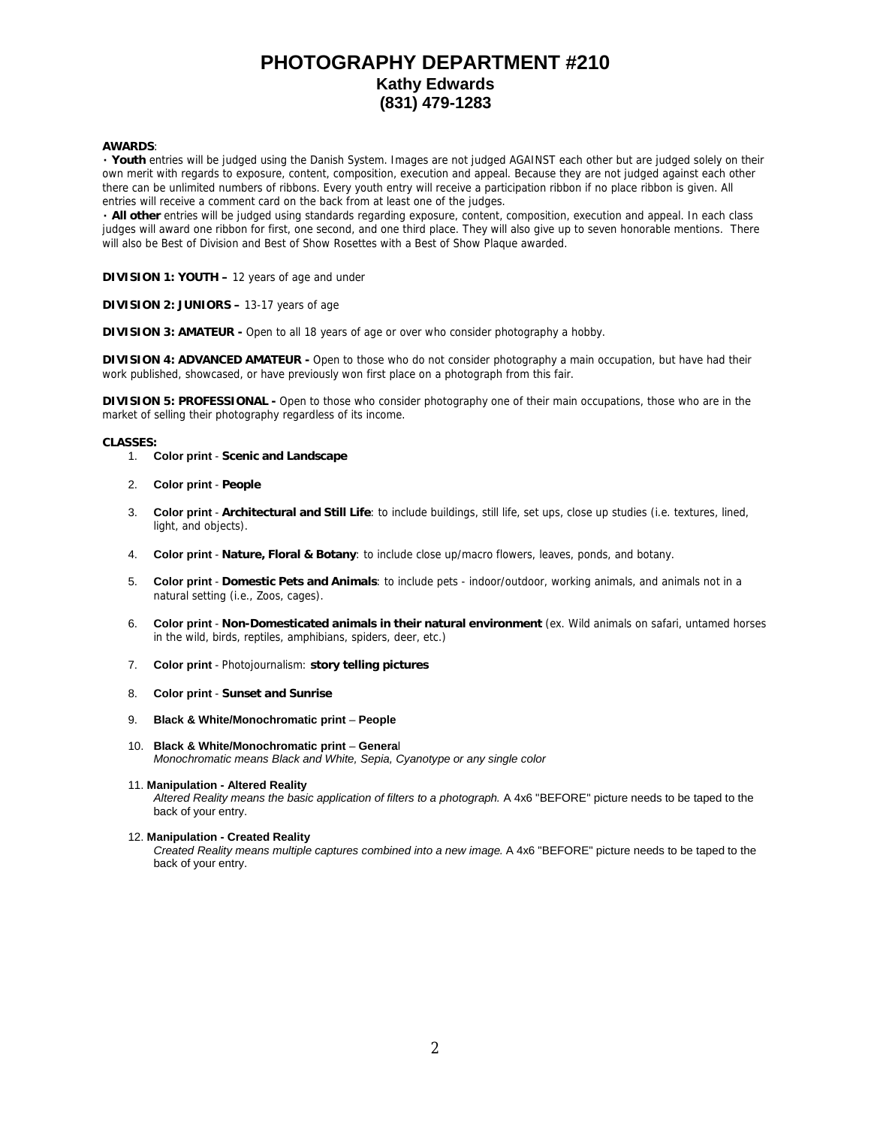# **PHOTOGRAPHY DEPARTMENT #210 Kathy Edwards (831) 479-1283**

#### **AWARDS**:

**Youth** entries will be judged using the Danish System. Images are not judged AGAINST each other but are judged solely on their own merit with regards to exposure, content, composition, execution and appeal. Because they are not judged against each other there can be unlimited numbers of ribbons. Every youth entry will receive a participation ribbon if no place ribbon is given. All entries will receive a comment card on the back from at least one of the judges.

**All other** entries will be judged using standards regarding exposure, content, composition, execution and appeal. In each class judges will award one ribbon for first, one second, and one third place. They will also give up to seven honorable mentions. There will also be Best of Division and Best of Show Rosettes with a Best of Show Plaque awarded.

**DIVISION 1: YOUTH –** 12 years of age and under

**DIVISION 2: JUNIORS –** 13-17 years of age

**DIVISION 3: AMATEUR -** Open to all 18 years of age or over who consider photography a hobby.

**DIVISION 4: ADVANCED AMATEUR -** Open to those who do not consider photography a main occupation, but have had their work published, showcased, or have previously won first place on a photograph from this fair.

**DIVISION 5: PROFESSIONAL -** Open to those who consider photography one of their main occupations, those who are in the market of selling their photography regardless of its income.

#### **CLASSES:**

- 1. **Color print Scenic and Landscape**
- 2. **Color print People**
- 3. **Color print Architectural and Still Life**: to include buildings, still life, set ups, close up studies (i.e. textures, lined, light, and objects).
- 4. **Color print Nature, Floral & Botany**: to include close up/macro flowers, leaves, ponds, and botany.
- 5. **Color print Domestic Pets and Animals**: to include pets indoor/outdoor, working animals, and animals not in a natural setting (i.e., Zoos, cages).
- 6. **Color print Non-Domesticated animals in their natural environment** (ex. Wild animals on safari, untamed horses in the wild, birds, reptiles, amphibians, spiders, deer, etc.)
- 7. **Color print** Photojournalism: **story telling pictures**
- 8. **Color print Sunset and Sunrise**
- 9. **Black & White/Monochromatic print People**
- 10. **Black & White/Monochromatic print Genera**l *Monochromatic means Black and White, Sepia, Cyanotype or any single color*

#### 11. **Manipulation - Altered Reality**

*Altered Reality means the basic application of filters to a photograph.* A 4x6 "BEFORE" picture needs to be taped to the back of your entry.

#### 12. **Manipulation - Created Reality**

*Created Reality means multiple captures combined into a new image.* A 4x6 "BEFORE" picture needs to be taped to the back of your entry.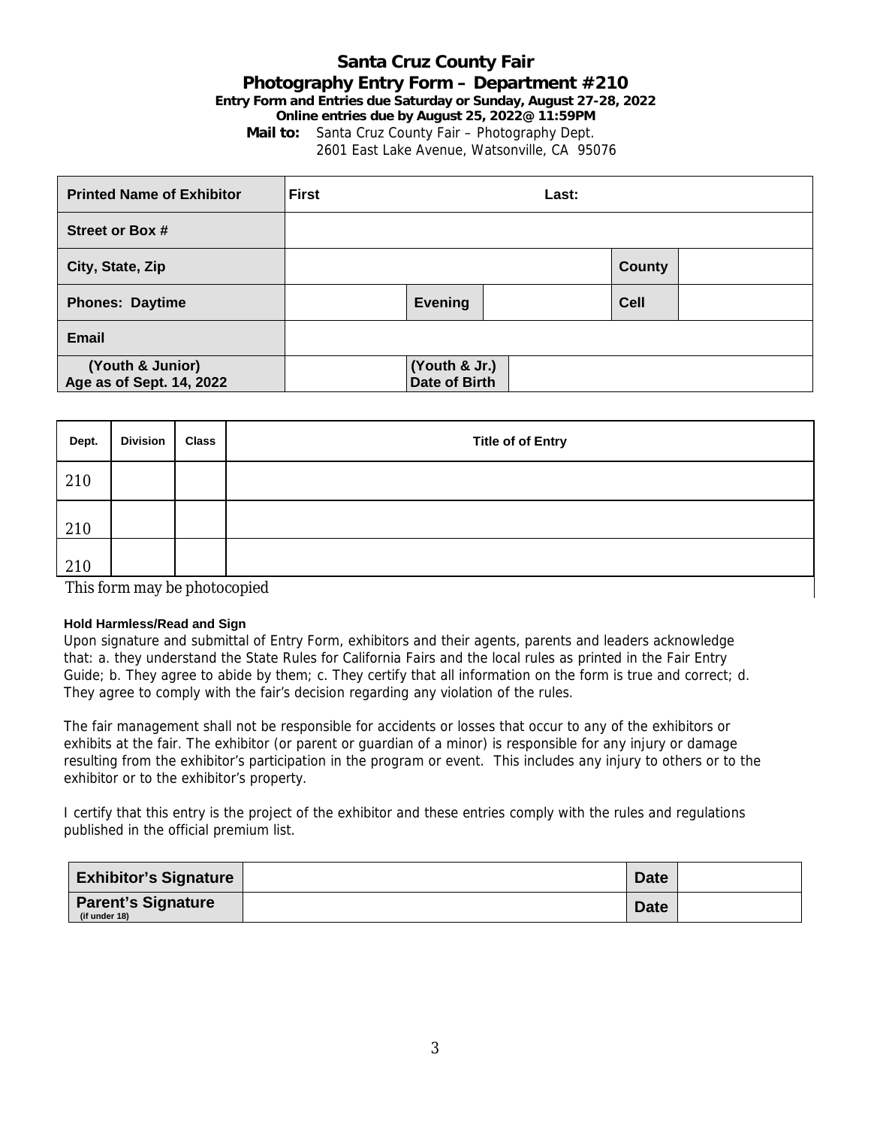## **Santa Cruz County Fair Photography Entry Form – Department #210 Entry Form and Entries due Saturday or Sunday, August 27-28, 2022 Online entries due by August 25, 2022@ 11:59PM Mail to:** Santa Cruz County Fair – Photography Dept. 2601 East Lake Avenue, Watsonville, CA 95076

| <b>Printed Name of Exhibitor</b>             | <b>First</b><br>Last: |                                       |  |               |  |
|----------------------------------------------|-----------------------|---------------------------------------|--|---------------|--|
| Street or Box #                              |                       |                                       |  |               |  |
| City, State, Zip                             |                       |                                       |  | <b>County</b> |  |
| <b>Phones: Daytime</b>                       |                       | <b>Evening</b>                        |  | Cell          |  |
| <b>Email</b>                                 |                       |                                       |  |               |  |
| (Youth & Junior)<br>Age as of Sept. 14, 2022 |                       | (Youth & Jr.)<br><b>Date of Birth</b> |  |               |  |

| Dept. | <b>Division</b>              | <b>Class</b> | <b>Title of of Entry</b> |  |  |
|-------|------------------------------|--------------|--------------------------|--|--|
| 210   |                              |              |                          |  |  |
| 210   |                              |              |                          |  |  |
| 210   |                              |              |                          |  |  |
|       | This form may be photocopied |              |                          |  |  |

### **Hold Harmless/Read and Sign**

Upon signature and submittal of Entry Form, exhibitors and their agents, parents and leaders acknowledge that: a. they understand the State Rules for California Fairs and the local rules as printed in the Fair Entry Guide; b. They agree to abide by them; c. They certify that all information on the form is true and correct; d. They agree to comply with the fair's decision regarding any violation of the rules.

The fair management shall not be responsible for accidents or losses that occur to any of the exhibitors or exhibits at the fair. The exhibitor (or parent or guardian of a minor) is responsible for any injury or damage resulting from the exhibitor's participation in the program or event. This includes any injury to others or to the exhibitor or to the exhibitor's property.

I certify that this entry is the project of the exhibitor and these entries comply with the rules and regulations published in the official premium list.

| <b>Exhibitor's Signature</b>               | <b>Date</b> |  |
|--------------------------------------------|-------------|--|
| <b>Parent's Signature</b><br>(if under 18) | <b>Date</b> |  |